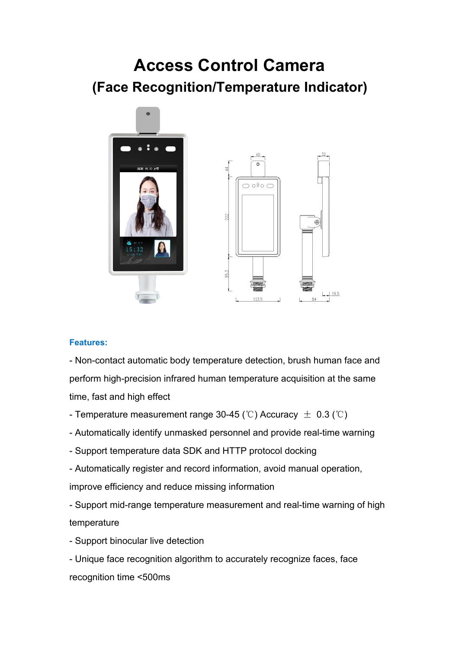# **Access Control Camera (Face Recognition/Temperature Indicator)**



#### **Features:**

- Non-contact automatic body temperature detection, brush human face and perform high-precision infrared human temperature acquisition at the same time, fast and high effect

- Temperature measurement range 30-45 (℃) Accuracy  $\pm$  0.3 (℃)
- Automatically identify unmasked personnel and provide real-time warning
- Support temperature data SDK and HTTP protocol docking
- Automatically register and record information, avoid manual operation, improve efficiency and reduce missing information

- Support mid-range temperature measurement and real-time warning of high temperature

- Support binocular live detection
- Unique face recognition algorithm to accurately recognize faces, face recognition time <500ms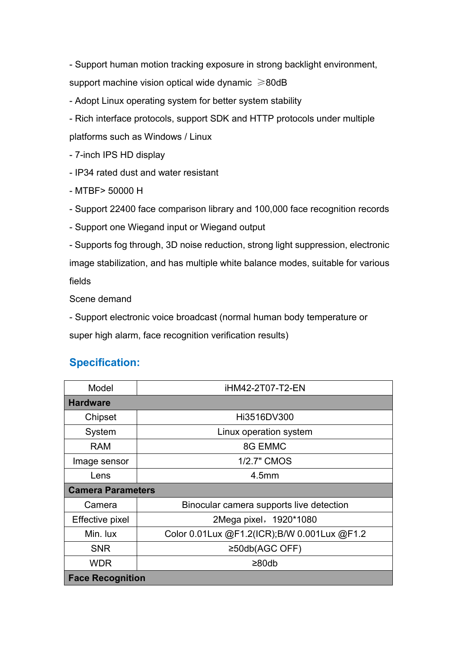- Support human motion tracking exposure in strong backlight environment, support machine vision optical wide dynamic  $\geq 80$ dB

- Adopt Linux operating system for better system stability

- Rich interface protocols, support SDK and HTTP protocols under multiple platforms such as Windows / Linux

- 7-inch IPS HD display

- IP34 rated dust and water resistant

- MTBF> 50000 H

- Support 22400 face comparison library and 100,000 face recognition records

- Support one Wiegand input or Wiegand output

- Supports fog through, 3D noise reduction, strong light suppression, electronic image stabilization, and has multiple white balance modes, suitable for various fields

Scene demand

- Support electronic voice broadcast (normal human body temperature or super high alarm, face recognition verification results)

## **Specification:**

| Model                    | iHM42-2T07-T2-EN                            |
|--------------------------|---------------------------------------------|
| <b>Hardware</b>          |                                             |
| Chipset                  | Hi3516DV300                                 |
| System                   | Linux operation system                      |
| <b>RAM</b>               | 8G EMMC                                     |
| Image sensor             | 1/2.7" CMOS                                 |
| Lens                     | 4.5 <sub>mm</sub>                           |
| <b>Camera Parameters</b> |                                             |
| Camera                   | Binocular camera supports live detection    |
| Effective pixel          | 2Mega pixel, 1920*1080                      |
| Min. lux                 | Color 0.01Lux @F1.2(ICR);B/W 0.001Lux @F1.2 |
| <b>SNR</b>               | $\geq$ 50db(AGC OFF)                        |
| <b>WDR</b>               | $\geq 80$ db                                |
| <b>Face Recognition</b>  |                                             |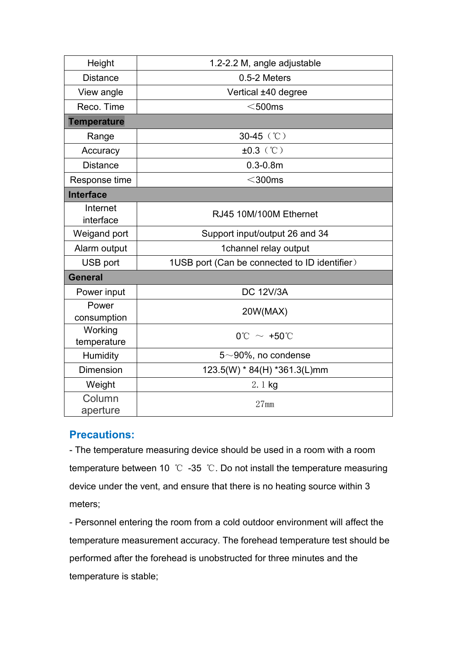| Height                 | 1.2-2.2 M, angle adjustable                   |
|------------------------|-----------------------------------------------|
| <b>Distance</b>        | 0.5-2 Meters                                  |
| View angle             | Vertical ±40 degree                           |
| Reco. Time             | $<$ 500ms                                     |
| <b>Temperature</b>     |                                               |
| Range                  | 30-45 (°C)                                    |
| Accuracy               | $±0.3$ (°C)                                   |
| <b>Distance</b>        | $0.3 - 0.8$ m                                 |
| Response time          | $<$ 300ms                                     |
| <b>Interface</b>       |                                               |
| Internet<br>interface  | RJ45 10M/100M Ethernet                        |
| Weigand port           | Support input/output 26 and 34                |
| Alarm output           | 1channel relay output                         |
| USB port               | 1USB port (Can be connected to ID identifier) |
| <b>General</b>         |                                               |
| Power input            | <b>DC 12V/3A</b>                              |
| Power<br>consumption   | 20W(MAX)                                      |
| Working<br>temperature | $0^{\circ}$ C ~ +50 $^{\circ}$ C              |
| Humidity               | $5{\sim}90\%$ , no condense                   |
| <b>Dimension</b>       | 123.5(W) * 84(H) *361.3(L)mm                  |
| Weight                 | 2.1 kg                                        |
| Column<br>aperture     | $27$ mm                                       |

## **Precautions:**

- The temperature measuring device should be used in a room with a room temperature between 10 ℃ -35 ℃. Do not install the temperature measuring device under the vent, and ensure that there is no heating source within 3 meters;

- Personnel entering the room from a cold outdoor environment will affect the temperature measurement accuracy. The forehead temperature test should be performed after the forehead is unobstructed for three minutes and the temperature is stable;